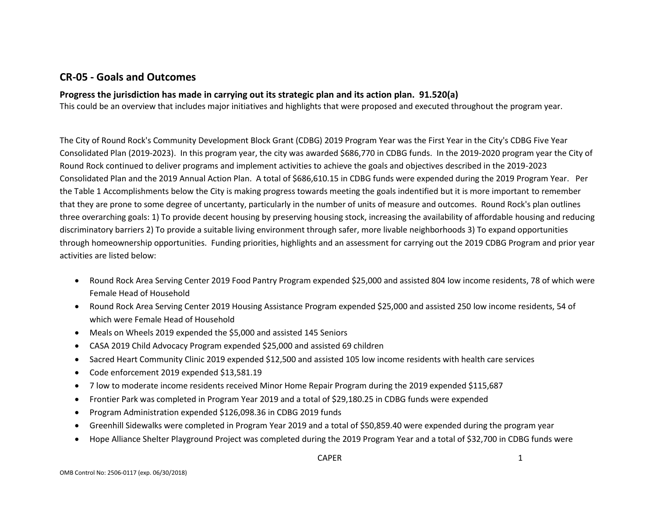## **CR-05 - Goals and Outcomes**

### **Progress the jurisdiction has made in carrying out its strategic plan and its action plan. 91.520(a)**

This could be an overview that includes major initiatives and highlights that were proposed and executed throughout the program year.

The City of Round Rock's Community Development Block Grant (CDBG) 2019 Program Year was the First Year in the City's CDBG Five Year Consolidated Plan (2019-2023). In this program year, the city was awarded \$686,770 in CDBG funds. In the 2019-2020 program year the City of Round Rock continued to deliver programs and implement activities to achieve the goals and objectives described in the 2019-2023 Consolidated Plan and the 2019 Annual Action Plan. A total of \$686,610.15 in CDBG funds were expended during the 2019 Program Year. Per the Table 1 Accomplishments below the City is making progress towards meeting the goals indentified but it is more important to remember that they are prone to some degree of uncertanty, particularly in the number of units of measure and outcomes. Round Rock's plan outlines three overarching goals: 1) To provide decent housing by preserving housing stock, increasing the availability of affordable housing and reducing discriminatory barriers 2) To provide a suitable living environment through safer, more livable neighborhoods 3) To expand opportunities through homeownership opportunities. Funding priorities, highlights and an assessment for carrying out the 2019 CDBG Program and prior year activities are listed below:

- Round Rock Area Serving Center 2019 Food Pantry Program expended \$25,000 and assisted 804 low income residents, 78 of which were Female Head of Household
- Round Rock Area Serving Center 2019 Housing Assistance Program expended \$25,000 and assisted 250 low income residents, 54 of which were Female Head of Household
- Meals on Wheels 2019 expended the \$5,000 and assisted 145 Seniors
- CASA 2019 Child Advocacy Program expended \$25,000 and assisted 69 children
- Sacred Heart Community Clinic 2019 expended \$12,500 and assisted 105 low income residents with health care services
- Code enforcement 2019 expended \$13,581.19
- 7 low to moderate income residents received Minor Home Repair Program during the 2019 expended \$115,687
- Frontier Park was completed in Program Year 2019 and a total of \$29,180.25 in CDBG funds were expended
- Program Administration expended \$126,098.36 in CDBG 2019 funds
- Greenhill Sidewalks were completed in Program Year 2019 and a total of \$50,859.40 were expended during the program year
- Hope Alliance Shelter Playground Project was completed during the 2019 Program Year and a total of \$32,700 in CDBG funds were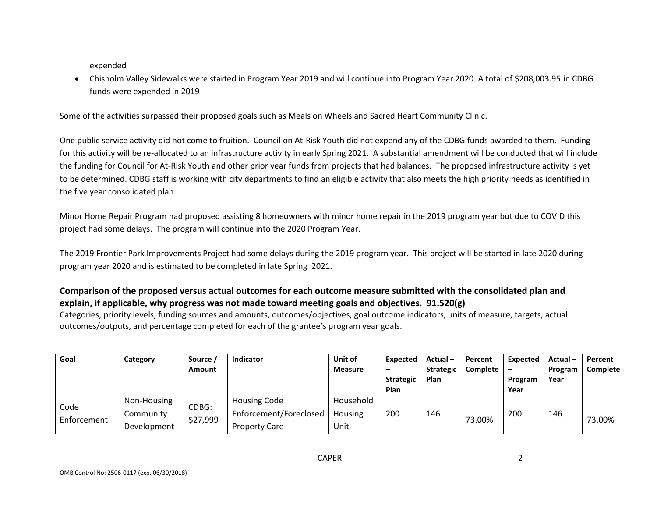expended

• Chisholm Valley Sidewalks were started in Program Year 2019 and will continue into Program Year 2020. A total of \$208,003.95 in CDBG funds were expended in 2019

Some of the activities surpassed their proposed goals such as Meals on Wheels and Sacred Heart Community Clinic.

One public service activity did not come to fruition. Council on At-Risk Youth did not expend any of the CDBG funds awarded to them. Funding for this activity will be re-allocated to an infrastructure activity in early Spring 2021. A substantial amendment will be conducted that will include the funding for Council for At-Risk Youth and other prior year funds from projects that had balances. The proposed infrastructure activity is yet to be determined. CDBG staff is working with city departments to find an eligible activity that also meets the high priority needs as identified in the five year consolidated plan.

Minor Home Repair Program had proposed assisting 8 homeowners with minor home repair in the 2019 program year but due to COVID this project had some delays. The program will continue into the 2020 Program Year.

The 2019 Frontier Park Improvements Project had some delays during the 2019 program year. This project will be started in late 2020 during program year 2020 and is estimated to be completed in late Spring 2021.

### **Comparison of the proposed versus actual outcomes for each outcome measure submitted with the consolidated plan and explain, if applicable, why progress was not made toward meeting goals and objectives. 91.520(g)**

Categories, priority levels, funding sources and amounts, outcomes/objectives, goal outcome indicators, units of measure, targets, actual outcomes/outputs, and percentage completed for each of the grantee's program year goals.

| Goal                | Category    | Source /          | <b>Indicator</b>       | Unit of        | Expected         | Actual-          | Percent         | Expected | Actual- | Percent  |
|---------------------|-------------|-------------------|------------------------|----------------|------------------|------------------|-----------------|----------|---------|----------|
|                     |             | Amount            |                        | <b>Measure</b> | -                | <b>Strategic</b> | <b>Complete</b> |          | Program | Complete |
|                     |             |                   |                        |                | <b>Strategic</b> | Plan             |                 | Program  | Year    |          |
|                     |             |                   |                        |                | Plan             |                  |                 | Year     |         |          |
| Code<br>Enforcement | Non-Housing | CDBG:<br>\$27,999 | Housing Code           | Household      | 200              | 146              |                 | 200      | 146     |          |
|                     | Community   |                   | Enforcement/Foreclosed | Housing        |                  |                  |                 |          |         |          |
|                     | Development |                   | <b>Property Care</b>   | Unit           |                  |                  | 73.00%          |          |         | 73.00%   |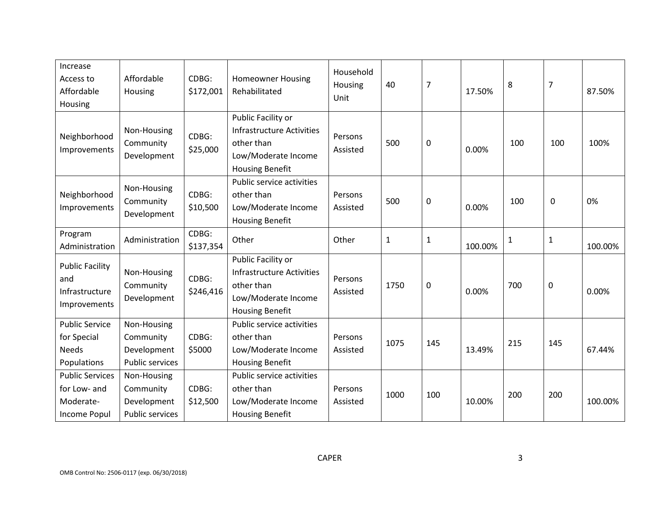| Increase<br>Access to<br>Affordable<br>Housing                             | Affordable<br>Housing                                             | CDBG:<br>\$172,001 | <b>Homeowner Housing</b><br>Rehabilitated                                                                      | Household<br>Housing<br>Unit | 40           | $\overline{7}$   | 17.50%  | 8   | $\overline{7}$ | 87.50%  |
|----------------------------------------------------------------------------|-------------------------------------------------------------------|--------------------|----------------------------------------------------------------------------------------------------------------|------------------------------|--------------|------------------|---------|-----|----------------|---------|
| Neighborhood<br>Improvements                                               | Non-Housing<br>Community<br>Development                           | CDBG:<br>\$25,000  | Public Facility or<br>Infrastructure Activities<br>other than<br>Low/Moderate Income<br><b>Housing Benefit</b> | Persons<br>Assisted          | 500          | 0                | 0.00%   | 100 | 100            | 100%    |
| Neighborhood<br>Improvements                                               | Non-Housing<br>Community<br>Development                           | CDBG:<br>\$10,500  | Public service activities<br>other than<br>Low/Moderate Income<br><b>Housing Benefit</b>                       | Persons<br>Assisted          | 500          | 0                | 0.00%   | 100 | 0              | 0%      |
| Program<br>Administration                                                  | Administration                                                    | CDBG:<br>\$137,354 | Other                                                                                                          | Other                        | $\mathbf{1}$ | $\mathbf{1}$     | 100.00% | 1   | $\mathbf 1$    | 100.00% |
| <b>Public Facility</b><br>and<br>Infrastructure<br>Improvements            | Non-Housing<br>Community<br>Development                           | CDBG:<br>\$246,416 | Public Facility or<br>Infrastructure Activities<br>other than<br>Low/Moderate Income<br><b>Housing Benefit</b> | Persons<br>Assisted          | 1750         | $\boldsymbol{0}$ | 0.00%   | 700 | $\mathbf 0$    | 0.00%   |
| <b>Public Service</b><br>for Special<br><b>Needs</b><br>Populations        | Non-Housing<br>Community<br>Development<br>Public services        | CDBG:<br>\$5000    | Public service activities<br>other than<br>Low/Moderate Income<br><b>Housing Benefit</b>                       | Persons<br>Assisted          | 1075         | 145              | 13.49%  | 215 | 145            | 67.44%  |
| <b>Public Services</b><br>for Low- and<br>Moderate-<br><b>Income Popul</b> | Non-Housing<br>Community<br>Development<br><b>Public services</b> | CDBG:<br>\$12,500  | Public service activities<br>other than<br>Low/Moderate Income<br><b>Housing Benefit</b>                       | Persons<br>Assisted          | 1000         | 100              | 10.00%  | 200 | 200            | 100.00% |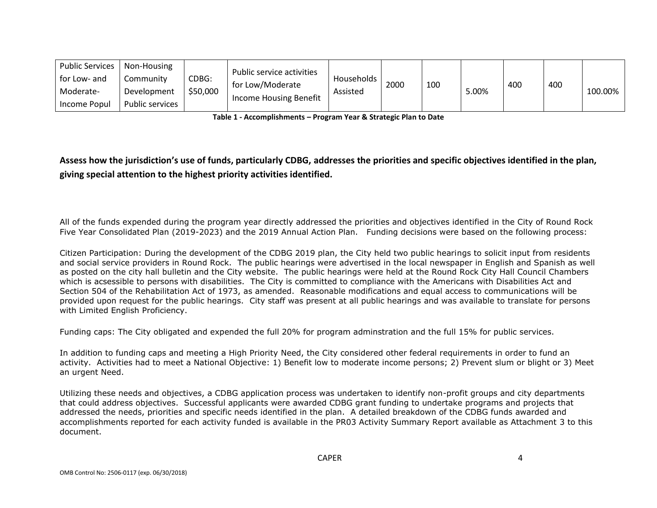| Public Services  <br>for Low- and<br>Moderate- | Non-Housing<br>Communitv<br>Development | CDBG:<br>\$50,000 | Public service activities<br>for Low/Moderate<br>Income Housing Benefit | Households<br>Assisted | 2000 | 100 | 5.00% | 400 | 400 | 100.00% |
|------------------------------------------------|-----------------------------------------|-------------------|-------------------------------------------------------------------------|------------------------|------|-----|-------|-----|-----|---------|
| Income Popul                                   | Public services                         |                   |                                                                         |                        |      |     |       |     |     |         |

**Table 1 - Accomplishments – Program Year & Strategic Plan to Date**

**Assess how the jurisdiction's use of funds, particularly CDBG, addresses the priorities and specific objectives identified in the plan, giving special attention to the highest priority activities identified.**

All of the funds expended during the program year directly addressed the priorities and objectives identified in the City of Round Rock Five Year Consolidated Plan (2019-2023) and the 2019 Annual Action Plan. Funding decisions were based on the following process:

Citizen Participation: During the development of the CDBG 2019 plan, the City held two public hearings to solicit input from residents and social service providers in Round Rock. The public hearings were advertised in the local newspaper in English and Spanish as well as posted on the city hall bulletin and the City website. The public hearings were held at the Round Rock City Hall Council Chambers which is acsessible to persons with disabilities. The City is committed to compliance with the Americans with Disabilities Act and Section 504 of the Rehabilitation Act of 1973, as amended. Reasonable modifications and equal access to communications will be provided upon request for the public hearings. City staff was present at all public hearings and was available to translate for persons with Limited English Proficiency.

Funding caps: The City obligated and expended the full 20% for program adminstration and the full 15% for public services.

In addition to funding caps and meeting a High Priority Need, the City considered other federal requirements in order to fund an activity. Activities had to meet a National Objective: 1) Benefit low to moderate income persons; 2) Prevent slum or blight or 3) Meet an urgent Need.

Utilizing these needs and objectives, a CDBG application process was undertaken to identify non-profit groups and city departments that could address objectives. Successful applicants were awarded CDBG grant funding to undertake programs and projects that addressed the needs, priorities and specific needs identified in the plan. A detailed breakdown of the CDBG funds awarded and accomplishments reported for each activity funded is available in the PR03 Activity Summary Report available as Attachment 3 to this document.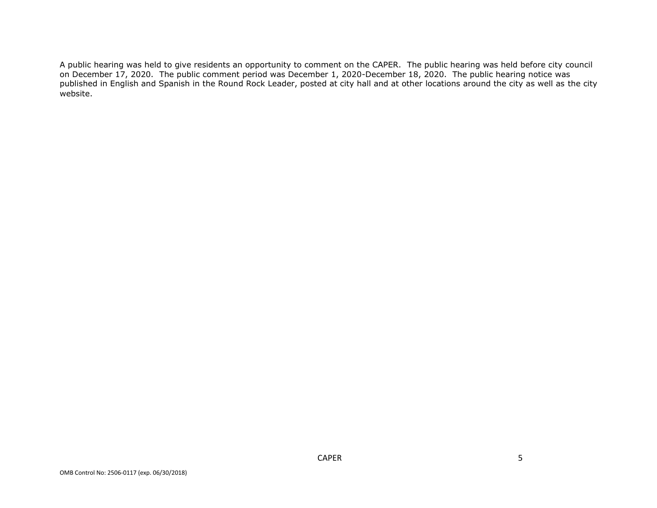A public hearing was held to give residents an opportunity to comment on the CAPER. The public hearing was held before city council on December 17, 2020. The public comment period was December 1, 2020-December 18, 2020. The public hearing notice was published in English and Spanish in the Round Rock Leader, posted at city hall and at other locations around the city as well as the city website.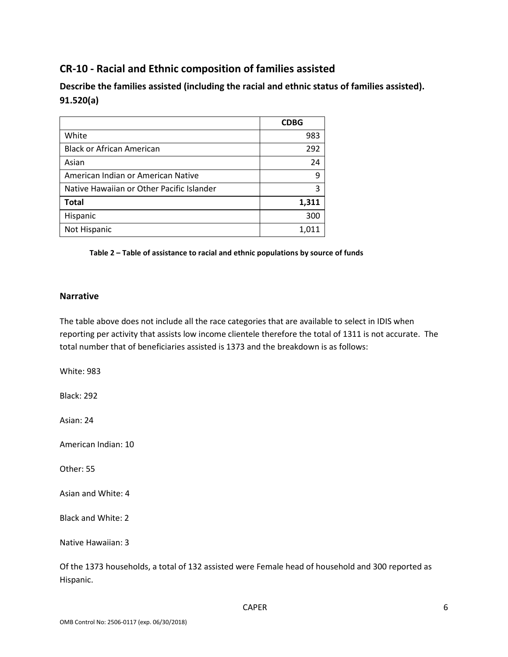# **CR-10 - Racial and Ethnic composition of families assisted**

**Describe the families assisted (including the racial and ethnic status of families assisted). 91.520(a)** 

|                                           | <b>CDBG</b> |
|-------------------------------------------|-------------|
| White                                     | 983         |
| <b>Black or African American</b>          | 292         |
| Asian                                     | 24          |
| American Indian or American Native        | 9           |
| Native Hawaiian or Other Pacific Islander | 3           |
| <b>Total</b>                              | 1,311       |
| Hispanic                                  | 300         |
| Not Hispanic                              | 1,011       |

**Table 2 – Table of assistance to racial and ethnic populations by source of funds**

### **Narrative**

The table above does not include all the race categories that are available to select in IDIS when reporting per activity that assists low income clientele therefore the total of 1311 is not accurate. The total number that of beneficiaries assisted is 1373 and the breakdown is as follows:

White: 983

Black: 292

Asian: 24

American Indian: 10

Other: 55

Asian and White: 4

Black and White: 2

Native Hawaiian: 3

Of the 1373 households, a total of 132 assisted were Female head of household and 300 reported as Hispanic.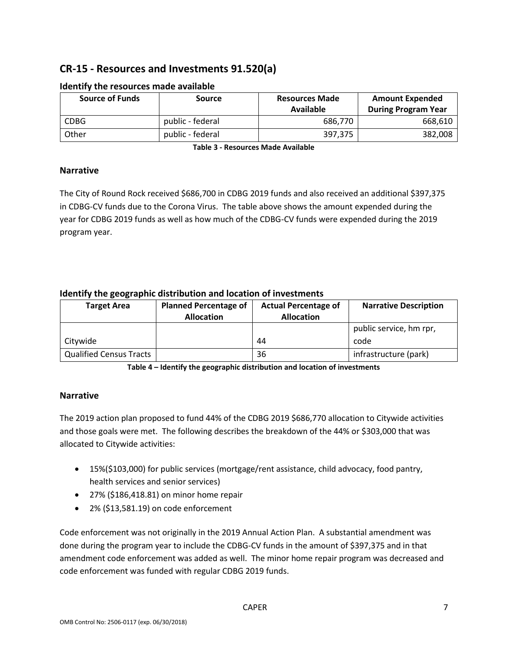# **CR-15 - Resources and Investments 91.520(a)**

| <b>Source of Funds</b> | <b>Source</b>    | <b>Resources Made</b><br>Available | <b>Amount Expended</b><br><b>During Program Year</b> |
|------------------------|------------------|------------------------------------|------------------------------------------------------|
| <b>CDBG</b>            | public - federal | 686,770                            | 668,610                                              |
| Other                  | public - federal | 397,375                            | 382,008                                              |

### **Identify the resources made available**

**Table 3 - Resources Made Available**

### **Narrative**

The City of Round Rock received \$686,700 in CDBG 2019 funds and also received an additional \$397,375 in CDBG-CV funds due to the Corona Virus. The table above shows the amount expended during the year for CDBG 2019 funds as well as how much of the CDBG-CV funds were expended during the 2019 program year.

### **Identify the geographic distribution and location of investments**

| <b>Target Area</b>      | <b>Planned Percentage of</b><br><b>Actual Percentage of</b><br><b>Allocation</b> |    | <b>Narrative Description</b> |  |
|-------------------------|----------------------------------------------------------------------------------|----|------------------------------|--|
|                         |                                                                                  |    | public service, hm rpr,      |  |
| Citywide                |                                                                                  | 44 | code                         |  |
| Qualified Census Tracts |                                                                                  | 36 | infrastructure (park)        |  |

**Table 4 – Identify the geographic distribution and location of investments**

### **Narrative**

The 2019 action plan proposed to fund 44% of the CDBG 2019 \$686,770 allocation to Citywide activities and those goals were met. The following describes the breakdown of the 44% or \$303,000 that was allocated to Citywide activities:

- 15%(\$103,000) for public services (mortgage/rent assistance, child advocacy, food pantry, health services and senior services)
- 27% (\$186,418.81) on minor home repair
- 2% (\$13,581.19) on code enforcement

Code enforcement was not originally in the 2019 Annual Action Plan. A substantial amendment was done during the program year to include the CDBG-CV funds in the amount of \$397,375 and in that amendment code enforcement was added as well. The minor home repair program was decreased and code enforcement was funded with regular CDBG 2019 funds.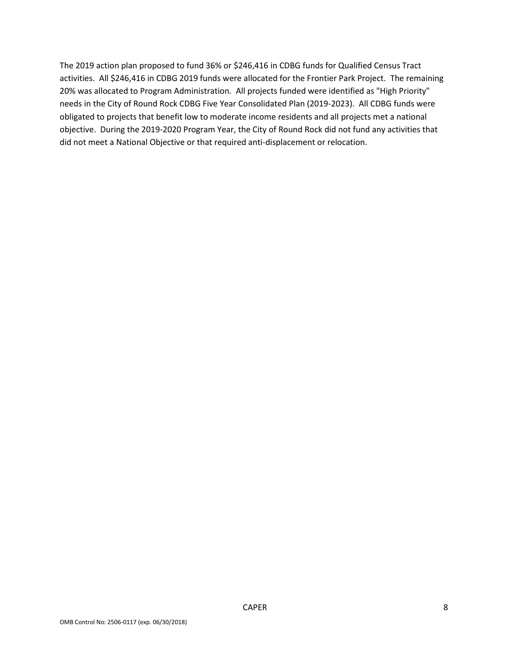The 2019 action plan proposed to fund 36% or \$246,416 in CDBG funds for Qualified Census Tract activities. All \$246,416 in CDBG 2019 funds were allocated for the Frontier Park Project. The remaining 20% was allocated to Program Administration. All projects funded were identified as "High Priority" needs in the City of Round Rock CDBG Five Year Consolidated Plan (2019-2023). All CDBG funds were obligated to projects that benefit low to moderate income residents and all projects met a national objective. During the 2019-2020 Program Year, the City of Round Rock did not fund any activities that did not meet a National Objective or that required anti-displacement or relocation.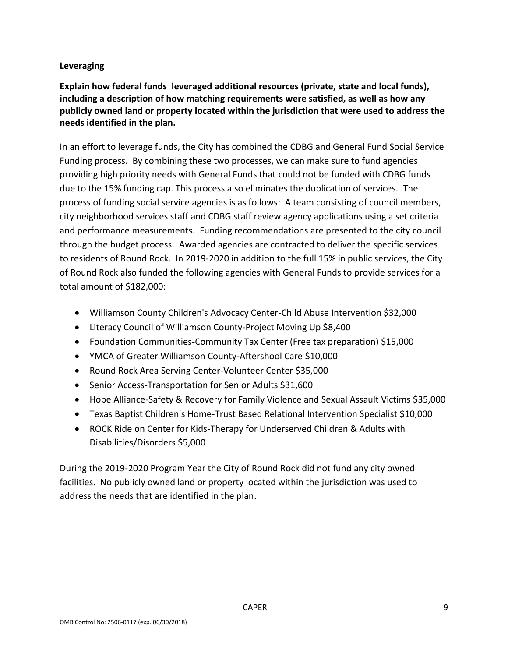### **Leveraging**

**Explain how federal funds leveraged additional resources (private, state and local funds), including a description of how matching requirements were satisfied, as well as how any publicly owned land or property located within the jurisdiction that were used to address the needs identified in the plan.**

In an effort to leverage funds, the City has combined the CDBG and General Fund Social Service Funding process. By combining these two processes, we can make sure to fund agencies providing high priority needs with General Funds that could not be funded with CDBG funds due to the 15% funding cap. This process also eliminates the duplication of services. The process of funding social service agencies is as follows: A team consisting of council members, city neighborhood services staff and CDBG staff review agency applications using a set criteria and performance measurements. Funding recommendations are presented to the city council through the budget process. Awarded agencies are contracted to deliver the specific services to residents of Round Rock. In 2019-2020 in addition to the full 15% in public services, the City of Round Rock also funded the following agencies with General Funds to provide services for a total amount of \$182,000:

- Williamson County Children's Advocacy Center-Child Abuse Intervention \$32,000
- Literacy Council of Williamson County-Project Moving Up \$8,400
- Foundation Communities-Community Tax Center (Free tax preparation) \$15,000
- YMCA of Greater Williamson County-Aftershool Care \$10,000
- Round Rock Area Serving Center-Volunteer Center \$35,000
- Senior Access-Transportation for Senior Adults \$31,600
- Hope Alliance-Safety & Recovery for Family Violence and Sexual Assault Victims \$35,000
- Texas Baptist Children's Home-Trust Based Relational Intervention Specialist \$10,000
- ROCK Ride on Center for Kids-Therapy for Underserved Children & Adults with Disabilities/Disorders \$5,000

During the 2019-2020 Program Year the City of Round Rock did not fund any city owned facilities. No publicly owned land or property located within the jurisdiction was used to address the needs that are identified in the plan.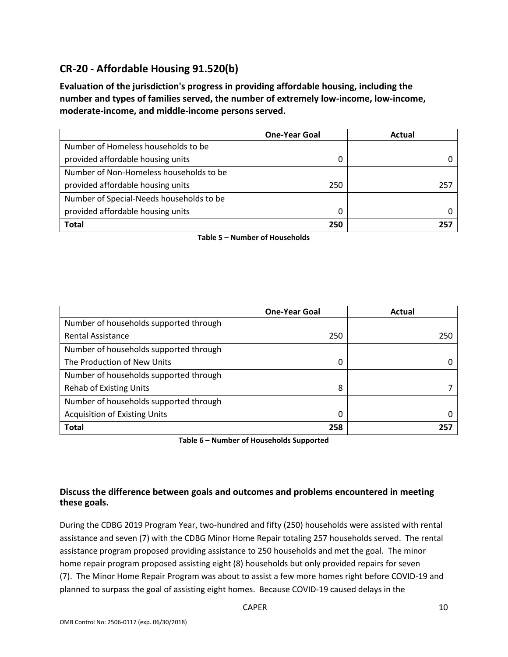# **CR-20 - Affordable Housing 91.520(b)**

**Evaluation of the jurisdiction's progress in providing affordable housing, including the number and types of families served, the number of extremely low-income, low-income, moderate-income, and middle-income persons served.**

|                                          | <b>One-Year Goal</b> | Actual |
|------------------------------------------|----------------------|--------|
| Number of Homeless households to be      |                      |        |
| provided affordable housing units        | 0                    |        |
| Number of Non-Homeless households to be  |                      |        |
| provided affordable housing units        | 250                  | 257    |
| Number of Special-Needs households to be |                      |        |
| provided affordable housing units        | O                    |        |
| <b>Total</b>                             | 250                  | 257    |

**Table 5 – Number of Households**

|                                        | <b>One-Year Goal</b> | Actual |
|----------------------------------------|----------------------|--------|
| Number of households supported through |                      |        |
| <b>Rental Assistance</b>               | 250                  | 250    |
| Number of households supported through |                      |        |
| The Production of New Units            | 0                    |        |
| Number of households supported through |                      |        |
| <b>Rehab of Existing Units</b>         | 8                    |        |
| Number of households supported through |                      |        |
| <b>Acquisition of Existing Units</b>   | 0                    |        |
| <b>Total</b>                           | 258                  | 257    |

**Table 6 – Number of Households Supported**

### **Discuss the difference between goals and outcomes and problems encountered in meeting these goals.**

During the CDBG 2019 Program Year, two-hundred and fifty (250) households were assisted with rental assistance and seven (7) with the CDBG Minor Home Repair totaling 257 households served. The rental assistance program proposed providing assistance to 250 households and met the goal. The minor home repair program proposed assisting eight (8) households but only provided repairs for seven (7). The Minor Home Repair Program was about to assist a few more homes right before COVID-19 and planned to surpass the goal of assisting eight homes. Because COVID-19 caused delays in the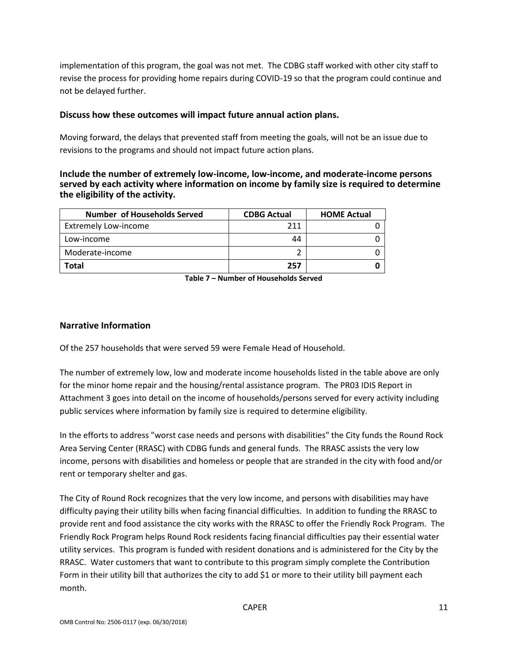implementation of this program, the goal was not met. The CDBG staff worked with other city staff to revise the process for providing home repairs during COVID-19 so that the program could continue and not be delayed further.

### **Discuss how these outcomes will impact future annual action plans.**

Moving forward, the delays that prevented staff from meeting the goals, will not be an issue due to revisions to the programs and should not impact future action plans.

**Include the number of extremely low-income, low-income, and moderate-income persons served by each activity where information on income by family size is required to determine the eligibility of the activity.**

| <b>Number of Households Served</b> | <b>CDBG Actual</b> | <b>HOME Actual</b> |
|------------------------------------|--------------------|--------------------|
| <b>Extremely Low-income</b>        | 211                |                    |
| Low-income                         | 44                 |                    |
| Moderate-income                    |                    |                    |
| Total                              | 257                |                    |

**Table 7 – Number of Households Served**

### **Narrative Information**

Of the 257 households that were served 59 were Female Head of Household.

The number of extremely low, low and moderate income households listed in the table above are only for the minor home repair and the housing/rental assistance program. The PR03 IDIS Report in Attachment 3 goes into detail on the income of households/persons served for every activity including public services where information by family size is required to determine eligibility.

In the efforts to address "worst case needs and persons with disabilities" the City funds the Round Rock Area Serving Center (RRASC) with CDBG funds and general funds. The RRASC assists the very low income, persons with disabilities and homeless or people that are stranded in the city with food and/or rent or temporary shelter and gas.

The City of Round Rock recognizes that the very low income, and persons with disabilities may have difficulty paying their utility bills when facing financial difficulties. In addition to funding the RRASC to provide rent and food assistance the city works with the RRASC to offer the Friendly Rock Program. The Friendly Rock Program helps Round Rock residents facing financial difficulties pay their essential water utility services. This program is funded with resident donations and is administered for the City by the RRASC. Water customers that want to contribute to this program simply complete the Contribution Form in their utility bill that authorizes the city to add \$1 or more to their utility bill payment each month.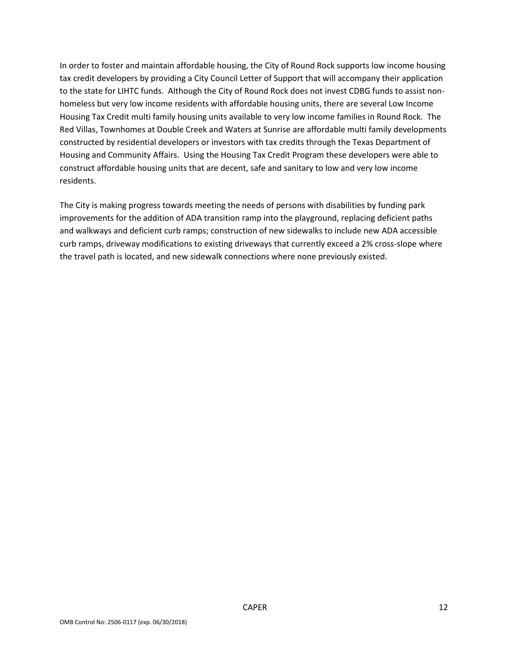In order to foster and maintain affordable housing, the City of Round Rock supports low income housing tax credit developers by providing a City Council Letter of Support that will accompany their application to the state for LIHTC funds. Although the City of Round Rock does not invest CDBG funds to assist nonhomeless but very low income residents with affordable housing units, there are several Low Income Housing Tax Credit multi family housing units available to very low income families in Round Rock. The Red Villas, Townhomes at Double Creek and Waters at Sunrise are affordable multi family developments constructed by residential developers or investors with tax credits through the Texas Department of Housing and Community Affairs. Using the Housing Tax Credit Program these developers were able to construct affordable housing units that are decent, safe and sanitary to low and very low income residents.

The City is making progress towards meeting the needs of persons with disabilities by funding park improvements for the addition of ADA transition ramp into the playground, replacing deficient paths and walkways and deficient curb ramps; construction of new sidewalks to include new ADA accessible curb ramps, driveway modifications to existing driveways that currently exceed a 2% cross-slope where the travel path is located, and new sidewalk connections where none previously existed.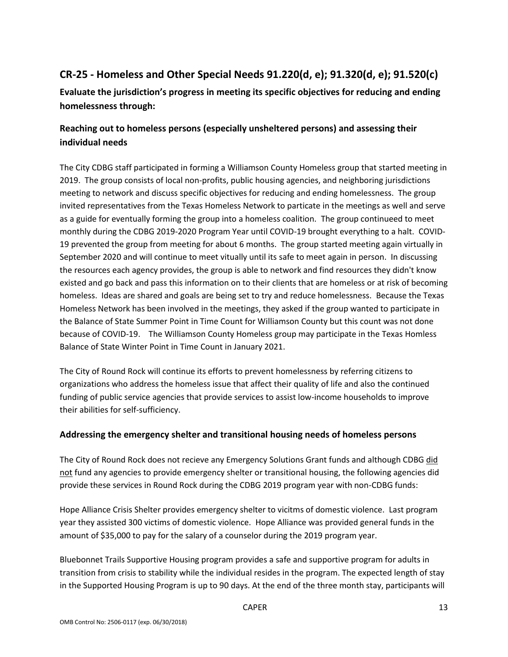# **CR-25 - Homeless and Other Special Needs 91.220(d, e); 91.320(d, e); 91.520(c)**

**Evaluate the jurisdiction's progress in meeting its specific objectives for reducing and ending homelessness through:**

## **Reaching out to homeless persons (especially unsheltered persons) and assessing their individual needs**

The City CDBG staff participated in forming a Williamson County Homeless group that started meeting in 2019. The group consists of local non-profits, public housing agencies, and neighboring jurisdictions meeting to network and discuss specific objectives for reducing and ending homelessness. The group invited representatives from the Texas Homeless Network to particate in the meetings as well and serve as a guide for eventually forming the group into a homeless coalition. The group continueed to meet monthly during the CDBG 2019-2020 Program Year until COVID-19 brought everything to a halt. COVID-19 prevented the group from meeting for about 6 months. The group started meeting again virtually in September 2020 and will continue to meet vitually until its safe to meet again in person. In discussing the resources each agency provides, the group is able to network and find resources they didn't know existed and go back and pass this information on to their clients that are homeless or at risk of becoming homeless. Ideas are shared and goals are being set to try and reduce homelessness. Because the Texas Homeless Network has been involved in the meetings, they asked if the group wanted to participate in the Balance of State Summer Point in Time Count for Williamson County but this count was not done because of COVID-19. The Williamson County Homeless group may participate in the Texas Homless Balance of State Winter Point in Time Count in January 2021.

The City of Round Rock will continue its efforts to prevent homelessness by referring citizens to organizations who address the homeless issue that affect their quality of life and also the continued funding of public service agencies that provide services to assist low-income households to improve their abilities for self-sufficiency.

### **Addressing the emergency shelter and transitional housing needs of homeless persons**

The City of Round Rock does not recieve any Emergency Solutions Grant funds and although CDBG did not fund any agencies to provide emergency shelter or transitional housing, the following agencies did provide these services in Round Rock during the CDBG 2019 program year with non-CDBG funds:

Hope Alliance Crisis Shelter provides emergency shelter to vicitms of domestic violence. Last program year they assisted 300 victims of domestic violence. Hope Alliance was provided general funds in the amount of \$35,000 to pay for the salary of a counselor during the 2019 program year.

Bluebonnet Trails Supportive Housing program provides a safe and supportive program for adults in transition from crisis to stability while the individual resides in the program. The expected length of stay in the Supported Housing Program is up to 90 days. At the end of the three month stay, participants will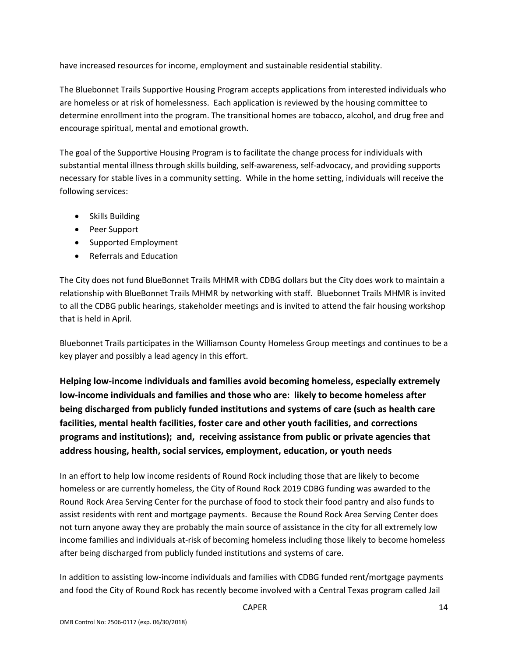have increased resources for income, employment and sustainable residential stability.

The Bluebonnet Trails Supportive Housing Program accepts applications from interested individuals who are homeless or at risk of homelessness. Each application is reviewed by the housing committee to determine enrollment into the program. The transitional homes are tobacco, alcohol, and drug free and encourage spiritual, mental and emotional growth.

The goal of the Supportive Housing Program is to facilitate the change process for individuals with substantial mental illness through skills building, self-awareness, self-advocacy, and providing supports necessary for stable lives in a community setting. While in the home setting, individuals will receive the following services:

- Skills Building
- Peer Support
- Supported Employment
- Referrals and Education

The City does not fund BlueBonnet Trails MHMR with CDBG dollars but the City does work to maintain a relationship with BlueBonnet Trails MHMR by networking with staff. Bluebonnet Trails MHMR is invited to all the CDBG public hearings, stakeholder meetings and is invited to attend the fair housing workshop that is held in April.

Bluebonnet Trails participates in the Williamson County Homeless Group meetings and continues to be a key player and possibly a lead agency in this effort.

**Helping low-income individuals and families avoid becoming homeless, especially extremely low-income individuals and families and those who are: likely to become homeless after being discharged from publicly funded institutions and systems of care (such as health care facilities, mental health facilities, foster care and other youth facilities, and corrections programs and institutions); and, receiving assistance from public or private agencies that address housing, health, social services, employment, education, or youth needs**

In an effort to help low income residents of Round Rock including those that are likely to become homeless or are currently homeless, the City of Round Rock 2019 CDBG funding was awarded to the Round Rock Area Serving Center for the purchase of food to stock their food pantry and also funds to assist residents with rent and mortgage payments. Because the Round Rock Area Serving Center does not turn anyone away they are probably the main source of assistance in the city for all extremely low income families and individuals at-risk of becoming homeless including those likely to become homeless after being discharged from publicly funded institutions and systems of care.

In addition to assisting low-income individuals and families with CDBG funded rent/mortgage payments and food the City of Round Rock has recently become involved with a Central Texas program called Jail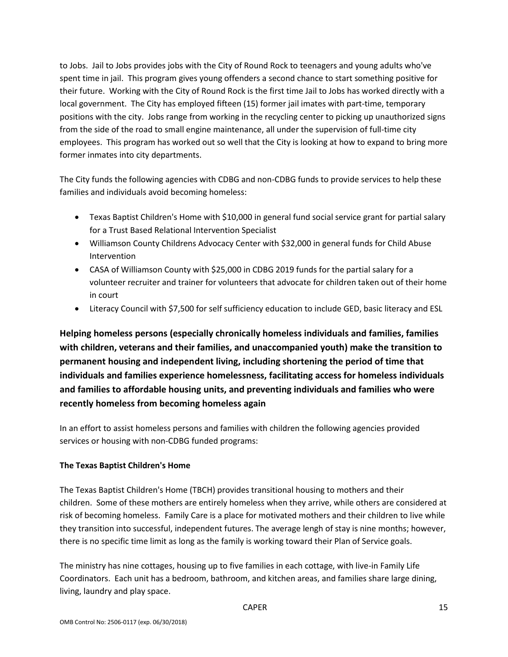to Jobs. Jail to Jobs provides jobs with the City of Round Rock to teenagers and young adults who've spent time in jail. This program gives young offenders a second chance to start something positive for their future. Working with the City of Round Rock is the first time Jail to Jobs has worked directly with a local government. The City has employed fifteen (15) former jail imates with part-time, temporary positions with the city. Jobs range from working in the recycling center to picking up unauthorized signs from the side of the road to small engine maintenance, all under the supervision of full-time city employees. This program has worked out so well that the City is looking at how to expand to bring more former inmates into city departments.

The City funds the following agencies with CDBG and non-CDBG funds to provide services to help these families and individuals avoid becoming homeless:

- Texas Baptist Children's Home with \$10,000 in general fund social service grant for partial salary for a Trust Based Relational Intervention Specialist
- Williamson County Childrens Advocacy Center with \$32,000 in general funds for Child Abuse Intervention
- CASA of Williamson County with \$25,000 in CDBG 2019 funds for the partial salary for a volunteer recruiter and trainer for volunteers that advocate for children taken out of their home in court
- Literacy Council with \$7,500 for self sufficiency education to include GED, basic literacy and ESL

**Helping homeless persons (especially chronically homeless individuals and families, families with children, veterans and their families, and unaccompanied youth) make the transition to permanent housing and independent living, including shortening the period of time that individuals and families experience homelessness, facilitating access for homeless individuals and families to affordable housing units, and preventing individuals and families who were recently homeless from becoming homeless again**

In an effort to assist homeless persons and families with children the following agencies provided services or housing with non-CDBG funded programs:

### **The Texas Baptist Children's Home**

The Texas Baptist Children's Home (TBCH) provides transitional housing to mothers and their children. Some of these mothers are entirely homeless when they arrive, while others are considered at risk of becoming homeless. Family Care is a place for motivated mothers and their children to live while they transition into successful, independent futures. The average lengh of stay is nine months; however, there is no specific time limit as long as the family is working toward their Plan of Service goals.

The ministry has nine cottages, housing up to five families in each cottage, with live-in Family Life Coordinators. Each unit has a bedroom, bathroom, and kitchen areas, and families share large dining, living, laundry and play space.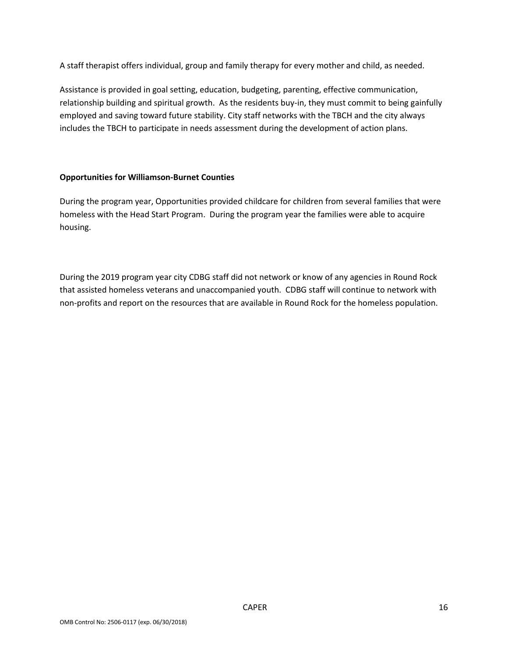A staff therapist offers individual, group and family therapy for every mother and child, as needed.

Assistance is provided in goal setting, education, budgeting, parenting, effective communication, relationship building and spiritual growth. As the residents buy-in, they must commit to being gainfully employed and saving toward future stability. City staff networks with the TBCH and the city always includes the TBCH to participate in needs assessment during the development of action plans.

### **Opportunities for Williamson-Burnet Counties**

During the program year, Opportunities provided childcare for children from several families that were homeless with the Head Start Program. During the program year the families were able to acquire housing.

During the 2019 program year city CDBG staff did not network or know of any agencies in Round Rock that assisted homeless veterans and unaccompanied youth. CDBG staff will continue to network with non-profits and report on the resources that are available in Round Rock for the homeless population.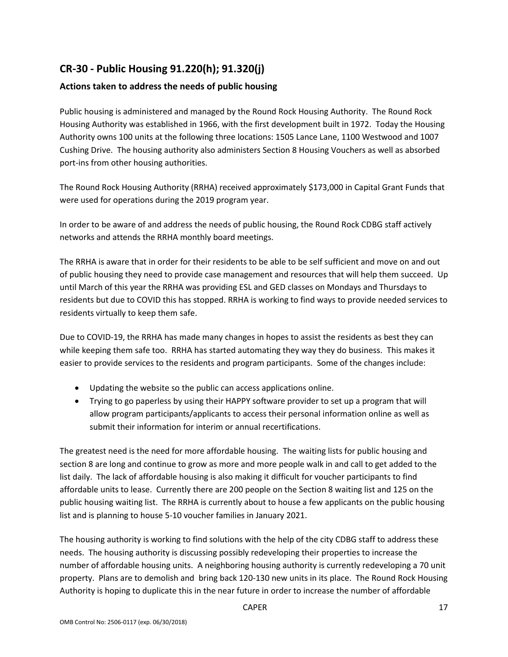# **CR-30 - Public Housing 91.220(h); 91.320(j)**

### **Actions taken to address the needs of public housing**

Public housing is administered and managed by the Round Rock Housing Authority. The Round Rock Housing Authority was established in 1966, with the first development built in 1972. Today the Housing Authority owns 100 units at the following three locations: 1505 Lance Lane, 1100 Westwood and 1007 Cushing Drive. The housing authority also administers Section 8 Housing Vouchers as well as absorbed port-ins from other housing authorities.

The Round Rock Housing Authority (RRHA) received approximately \$173,000 in Capital Grant Funds that were used for operations during the 2019 program year.

In order to be aware of and address the needs of public housing, the Round Rock CDBG staff actively networks and attends the RRHA monthly board meetings.

The RRHA is aware that in order for their residents to be able to be self sufficient and move on and out of public housing they need to provide case management and resources that will help them succeed. Up until March of this year the RRHA was providing ESL and GED classes on Mondays and Thursdays to residents but due to COVID this has stopped. RRHA is working to find ways to provide needed services to residents virtually to keep them safe.

Due to COVID-19, the RRHA has made many changes in hopes to assist the residents as best they can while keeping them safe too. RRHA has started automating they way they do business. This makes it easier to provide services to the residents and program participants. Some of the changes include:

- Updating the website so the public can access applications online.
- Trying to go paperless by using their HAPPY software provider to set up a program that will allow program participants/applicants to access their personal information online as well as submit their information for interim or annual recertifications.

The greatest need is the need for more affordable housing. The waiting lists for public housing and section 8 are long and continue to grow as more and more people walk in and call to get added to the list daily. The lack of affordable housing is also making it difficult for voucher participants to find affordable units to lease. Currently there are 200 people on the Section 8 waiting list and 125 on the public housing waiting list. The RRHA is currently about to house a few applicants on the public housing list and is planning to house 5-10 voucher families in January 2021.

The housing authority is working to find solutions with the help of the city CDBG staff to address these needs. The housing authority is discussing possibly redeveloping their properties to increase the number of affordable housing units. A neighboring housing authority is currently redeveloping a 70 unit property. Plans are to demolish and bring back 120-130 new units in its place. The Round Rock Housing Authority is hoping to duplicate this in the near future in order to increase the number of affordable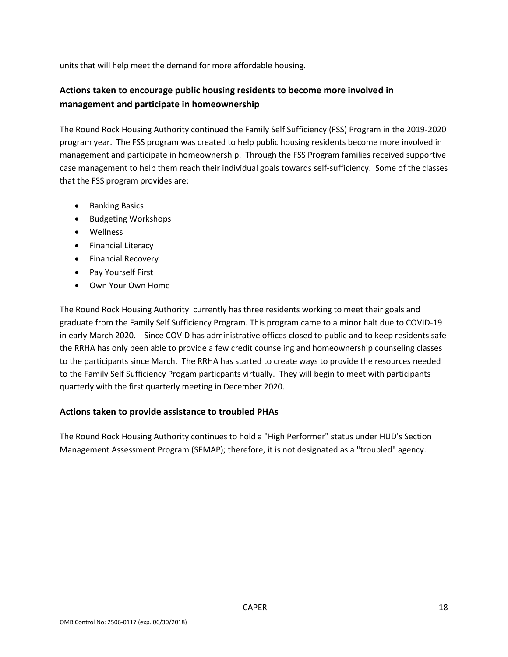units that will help meet the demand for more affordable housing.

## **Actions taken to encourage public housing residents to become more involved in management and participate in homeownership**

The Round Rock Housing Authority continued the Family Self Sufficiency (FSS) Program in the 2019-2020 program year. The FSS program was created to help public housing residents become more involved in management and participate in homeownership. Through the FSS Program families received supportive case management to help them reach their individual goals towards self-sufficiency. Some of the classes that the FSS program provides are:

- Banking Basics
- Budgeting Workshops
- Wellness
- Financial Literacy
- Financial Recovery
- Pay Yourself First
- Own Your Own Home

The Round Rock Housing Authority currently has three residents working to meet their goals and graduate from the Family Self Sufficiency Program. This program came to a minor halt due to COVID-19 in early March 2020. Since COVID has administrative offices closed to public and to keep residents safe the RRHA has only been able to provide a few credit counseling and homeownership counseling classes to the participants since March. The RRHA has started to create ways to provide the resources needed to the Family Self Sufficiency Progam particpants virtually. They will begin to meet with participants quarterly with the first quarterly meeting in December 2020.

### **Actions taken to provide assistance to troubled PHAs**

The Round Rock Housing Authority continues to hold a "High Performer" status under HUD's Section Management Assessment Program (SEMAP); therefore, it is not designated as a "troubled" agency.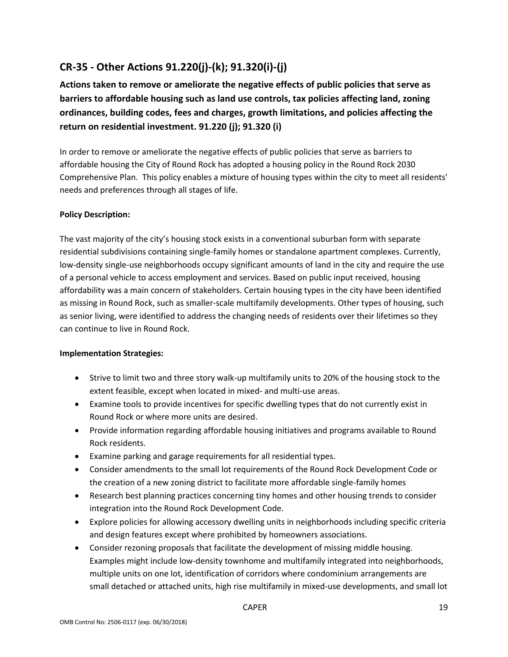# **CR-35 - Other Actions 91.220(j)-(k); 91.320(i)-(j)**

**Actions taken to remove or ameliorate the negative effects of public policies that serve as barriers to affordable housing such as land use controls, tax policies affecting land, zoning ordinances, building codes, fees and charges, growth limitations, and policies affecting the return on residential investment. 91.220 (j); 91.320 (i)**

In order to remove or ameliorate the negative effects of public policies that serve as barriers to affordable housing the City of Round Rock has adopted a housing policy in the Round Rock 2030 Comprehensive Plan. This policy enables a mixture of housing types within the city to meet all residents' needs and preferences through all stages of life.

### **Policy Description:**

The vast majority of the city's housing stock exists in a conventional suburban form with separate residential subdivisions containing single-family homes or standalone apartment complexes. Currently, low-density single-use neighborhoods occupy significant amounts of land in the city and require the use of a personal vehicle to access employment and services. Based on public input received, housing affordability was a main concern of stakeholders. Certain housing types in the city have been identified as missing in Round Rock, such as smaller-scale multifamily developments. Other types of housing, such as senior living, were identified to address the changing needs of residents over their lifetimes so they can continue to live in Round Rock.

### **Implementation Strategies:**

- Strive to limit two and three story walk-up multifamily units to 20% of the housing stock to the extent feasible, except when located in mixed- and multi-use areas.
- Examine tools to provide incentives for specific dwelling types that do not currently exist in Round Rock or where more units are desired.
- Provide information regarding affordable housing initiatives and programs available to Round Rock residents.
- Examine parking and garage requirements for all residential types.
- Consider amendments to the small lot requirements of the Round Rock Development Code or the creation of a new zoning district to facilitate more affordable single-family homes
- Research best planning practices concerning tiny homes and other housing trends to consider integration into the Round Rock Development Code.
- Explore policies for allowing accessory dwelling units in neighborhoods including specific criteria and design features except where prohibited by homeowners associations.
- Consider rezoning proposals that facilitate the development of missing middle housing. Examples might include low-density townhome and multifamily integrated into neighborhoods, multiple units on one lot, identification of corridors where condominium arrangements are small detached or attached units, high rise multifamily in mixed-use developments, and small lot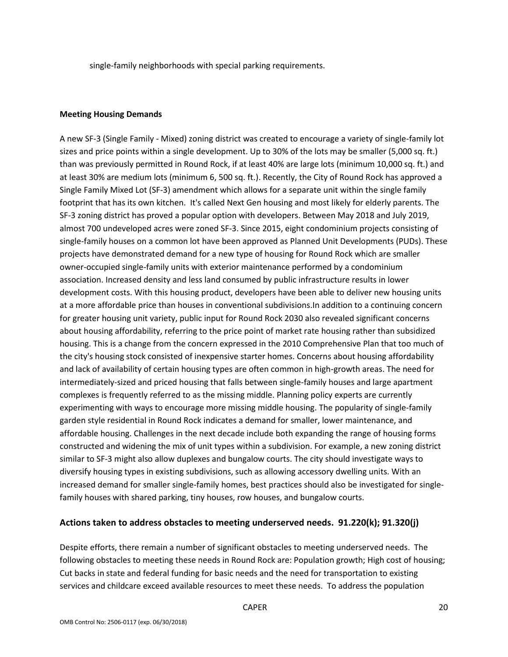single-family neighborhoods with special parking requirements.

#### **Meeting Housing Demands**

A new SF-3 (Single Family - Mixed) zoning district was created to encourage a variety of single-family lot sizes and price points within a single development. Up to 30% of the lots may be smaller (5,000 sq. ft.) than was previously permitted in Round Rock, if at least 40% are large lots (minimum 10,000 sq. ft.) and at least 30% are medium lots (minimum 6, 500 sq. ft.). Recently, the City of Round Rock has approved a Single Family Mixed Lot (SF-3) amendment which allows for a separate unit within the single family footprint that has its own kitchen. It's called Next Gen housing and most likely for elderly parents. The SF-3 zoning district has proved a popular option with developers. Between May 2018 and July 2019, almost 700 undeveloped acres were zoned SF-3. Since 2015, eight condominium projects consisting of single-family houses on a common lot have been approved as Planned Unit Developments (PUDs). These projects have demonstrated demand for a new type of housing for Round Rock which are smaller owner-occupied single-family units with exterior maintenance performed by a condominium association. Increased density and less land consumed by public infrastructure results in lower development costs. With this housing product, developers have been able to deliver new housing units at a more affordable price than houses in conventional subdivisions.In addition to a continuing concern for greater housing unit variety, public input for Round Rock 2030 also revealed significant concerns about housing affordability, referring to the price point of market rate housing rather than subsidized housing. This is a change from the concern expressed in the 2010 Comprehensive Plan that too much of the city's housing stock consisted of inexpensive starter homes. Concerns about housing affordability and lack of availability of certain housing types are often common in high-growth areas. The need for intermediately-sized and priced housing that falls between single-family houses and large apartment complexes is frequently referred to as the missing middle. Planning policy experts are currently experimenting with ways to encourage more missing middle housing. The popularity of single-family garden style residential in Round Rock indicates a demand for smaller, lower maintenance, and affordable housing. Challenges in the next decade include both expanding the range of housing forms constructed and widening the mix of unit types within a subdivision. For example, a new zoning district similar to SF-3 might also allow duplexes and bungalow courts. The city should investigate ways to diversify housing types in existing subdivisions, such as allowing accessory dwelling units. With an increased demand for smaller single-family homes, best practices should also be investigated for singlefamily houses with shared parking, tiny houses, row houses, and bungalow courts.

#### **Actions taken to address obstacles to meeting underserved needs. 91.220(k); 91.320(j)**

Despite efforts, there remain a number of significant obstacles to meeting underserved needs. The following obstacles to meeting these needs in Round Rock are: Population growth; High cost of housing; Cut backs in state and federal funding for basic needs and the need for transportation to existing services and childcare exceed available resources to meet these needs. To address the population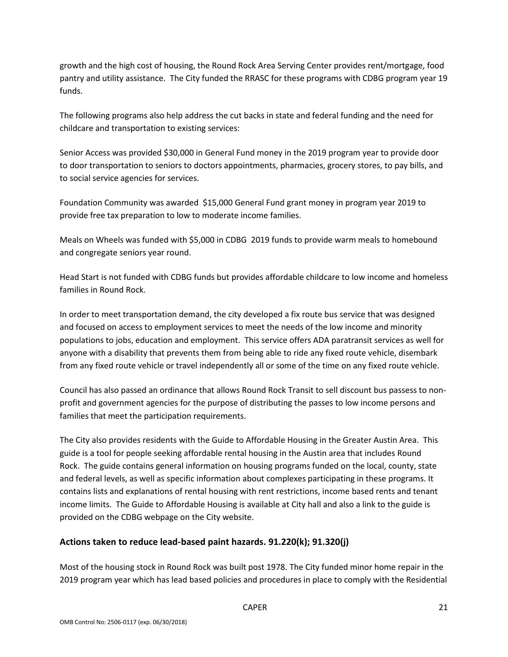growth and the high cost of housing, the Round Rock Area Serving Center provides rent/mortgage, food pantry and utility assistance. The City funded the RRASC for these programs with CDBG program year 19 funds.

The following programs also help address the cut backs in state and federal funding and the need for childcare and transportation to existing services:

Senior Access was provided \$30,000 in General Fund money in the 2019 program year to provide door to door transportation to seniors to doctors appointments, pharmacies, grocery stores, to pay bills, and to social service agencies for services.

Foundation Community was awarded \$15,000 General Fund grant money in program year 2019 to provide free tax preparation to low to moderate income families.

Meals on Wheels was funded with \$5,000 in CDBG 2019 funds to provide warm meals to homebound and congregate seniors year round.

Head Start is not funded with CDBG funds but provides affordable childcare to low income and homeless families in Round Rock.

In order to meet transportation demand, the city developed a fix route bus service that was designed and focused on access to employment services to meet the needs of the low income and minority populations to jobs, education and employment. This service offers ADA paratransit services as well for anyone with a disability that prevents them from being able to ride any fixed route vehicle, disembark from any fixed route vehicle or travel independently all or some of the time on any fixed route vehicle.

Council has also passed an ordinance that allows Round Rock Transit to sell discount bus passess to nonprofit and government agencies for the purpose of distributing the passes to low income persons and families that meet the participation requirements.

The City also provides residents with the Guide to Affordable Housing in the Greater Austin Area. This guide is a tool for people seeking affordable rental housing in the Austin area that includes Round Rock. The guide contains general information on housing programs funded on the local, county, state and federal levels, as well as specific information about complexes participating in these programs. It contains lists and explanations of rental housing with rent restrictions, income based rents and tenant income limits. The Guide to Affordable Housing is available at City hall and also a link to the guide is provided on the CDBG webpage on the City website.

### **Actions taken to reduce lead-based paint hazards. 91.220(k); 91.320(j)**

Most of the housing stock in Round Rock was built post 1978. The City funded minor home repair in the 2019 program year which has lead based policies and procedures in place to comply with the Residential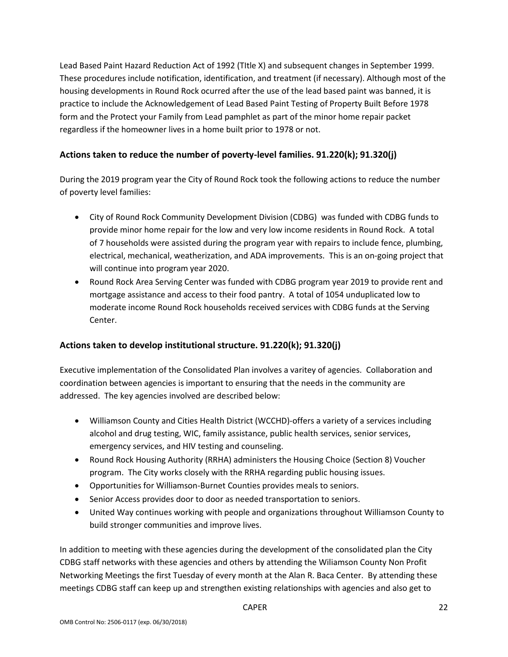Lead Based Paint Hazard Reduction Act of 1992 (TItle X) and subsequent changes in September 1999. These procedures include notification, identification, and treatment (if necessary). Although most of the housing developments in Round Rock ocurred after the use of the lead based paint was banned, it is practice to include the Acknowledgement of Lead Based Paint Testing of Property Built Before 1978 form and the Protect your Family from Lead pamphlet as part of the minor home repair packet regardless if the homeowner lives in a home built prior to 1978 or not.

### **Actions taken to reduce the number of poverty-level families. 91.220(k); 91.320(j)**

During the 2019 program year the City of Round Rock took the following actions to reduce the number of poverty level families:

- City of Round Rock Community Development Division (CDBG) was funded with CDBG funds to provide minor home repair for the low and very low income residents in Round Rock. A total of 7 households were assisted during the program year with repairs to include fence, plumbing, electrical, mechanical, weatherization, and ADA improvements. This is an on-going project that will continue into program year 2020.
- Round Rock Area Serving Center was funded with CDBG program year 2019 to provide rent and mortgage assistance and access to their food pantry. A total of 1054 unduplicated low to moderate income Round Rock households received services with CDBG funds at the Serving Center.

### **Actions taken to develop institutional structure. 91.220(k); 91.320(j)**

Executive implementation of the Consolidated Plan involves a varitey of agencies. Collaboration and coordination between agencies is important to ensuring that the needs in the community are addressed. The key agencies involved are described below:

- Williamson County and Cities Health District (WCCHD)-offers a variety of a services including alcohol and drug testing, WIC, family assistance, public health services, senior services, emergency services, and HIV testing and counseling.
- Round Rock Housing Authority (RRHA) administers the Housing Choice (Section 8) Voucher program. The City works closely with the RRHA regarding public housing issues.
- Opportunities for Williamson-Burnet Counties provides meals to seniors.
- Senior Access provides door to door as needed transportation to seniors.
- United Way continues working with people and organizations throughout Williamson County to build stronger communities and improve lives.

In addition to meeting with these agencies during the development of the consolidated plan the City CDBG staff networks with these agencies and others by attending the Wiliamson County Non Profit Networking Meetings the first Tuesday of every month at the Alan R. Baca Center. By attending these meetings CDBG staff can keep up and strengthen existing relationships with agencies and also get to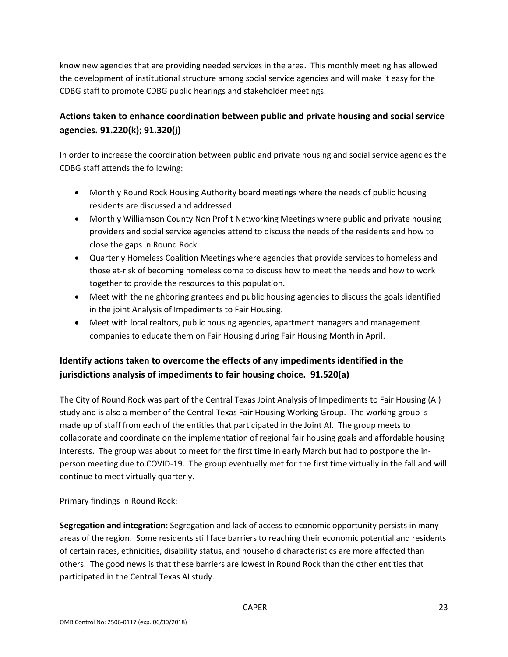know new agencies that are providing needed services in the area. This monthly meeting has allowed the development of institutional structure among social service agencies and will make it easy for the CDBG staff to promote CDBG public hearings and stakeholder meetings.

## **Actions taken to enhance coordination between public and private housing and social service agencies. 91.220(k); 91.320(j)**

In order to increase the coordination between public and private housing and social service agencies the CDBG staff attends the following:

- Monthly Round Rock Housing Authority board meetings where the needs of public housing residents are discussed and addressed.
- Monthly Williamson County Non Profit Networking Meetings where public and private housing providers and social service agencies attend to discuss the needs of the residents and how to close the gaps in Round Rock.
- Quarterly Homeless Coalition Meetings where agencies that provide services to homeless and those at-risk of becoming homeless come to discuss how to meet the needs and how to work together to provide the resources to this population.
- Meet with the neighboring grantees and public housing agencies to discuss the goals identified in the joint Analysis of Impediments to Fair Housing.
- Meet with local realtors, public housing agencies, apartment managers and management companies to educate them on Fair Housing during Fair Housing Month in April.

## **Identify actions taken to overcome the effects of any impediments identified in the jurisdictions analysis of impediments to fair housing choice. 91.520(a)**

The City of Round Rock was part of the Central Texas Joint Analysis of Impediments to Fair Housing (AI) study and is also a member of the Central Texas Fair Housing Working Group. The working group is made up of staff from each of the entities that participated in the Joint AI. The group meets to collaborate and coordinate on the implementation of regional fair housing goals and affordable housing interests. The group was about to meet for the first time in early March but had to postpone the inperson meeting due to COVID-19. The group eventually met for the first time virtually in the fall and will continue to meet virtually quarterly.

Primary findings in Round Rock:

**Segregation and integration:** Segregation and lack of access to economic opportunity persists in many areas of the region. Some residents still face barriers to reaching their economic potential and residents of certain races, ethnicities, disability status, and household characteristics are more affected than others. The good news is that these barriers are lowest in Round Rock than the other entities that participated in the Central Texas AI study.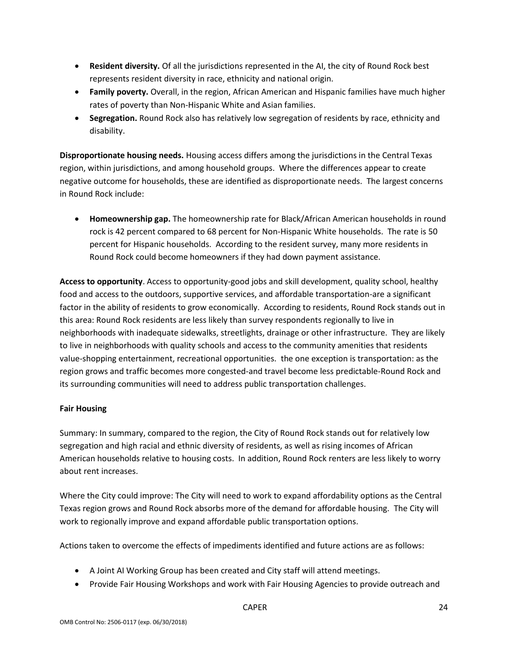- **Resident diversity.** Of all the jurisdictions represented in the AI, the city of Round Rock best represents resident diversity in race, ethnicity and national origin.
- **Family poverty.** Overall, in the region, African American and Hispanic families have much higher rates of poverty than Non-Hispanic White and Asian families.
- **Segregation.** Round Rock also has relatively low segregation of residents by race, ethnicity and disability.

**Disproportionate housing needs.** Housing access differs among the jurisdictions in the Central Texas region, within jurisdictions, and among household groups. Where the differences appear to create negative outcome for households, these are identified as disproportionate needs. The largest concerns in Round Rock include:

• **Homeownership gap.** The homeownership rate for Black/African American households in round rock is 42 percent compared to 68 percent for Non-Hispanic White households. The rate is 50 percent for Hispanic households. According to the resident survey, many more residents in Round Rock could become homeowners if they had down payment assistance.

**Access to opportunity**. Access to opportunity-good jobs and skill development, quality school, healthy food and access to the outdoors, supportive services, and affordable transportation-are a significant factor in the ability of residents to grow economically. According to residents, Round Rock stands out in this area: Round Rock residents are less likely than survey respondents regionally to live in neighborhoods with inadequate sidewalks, streetlights, drainage or other infrastructure. They are likely to live in neighborhoods with quality schools and access to the community amenities that residents value-shopping entertainment, recreational opportunities. the one exception is transportation: as the region grows and traffic becomes more congested-and travel become less predictable-Round Rock and its surrounding communities will need to address public transportation challenges.

### **Fair Housing**

Summary: In summary, compared to the region, the City of Round Rock stands out for relatively low segregation and high racial and ethnic diversity of residents, as well as rising incomes of African American households relative to housing costs. In addition, Round Rock renters are less likely to worry about rent increases.

Where the City could improve: The City will need to work to expand affordability options as the Central Texas region grows and Round Rock absorbs more of the demand for affordable housing. The City will work to regionally improve and expand affordable public transportation options.

Actions taken to overcome the effects of impediments identified and future actions are as follows:

- A Joint AI Working Group has been created and City staff will attend meetings.
- Provide Fair Housing Workshops and work with Fair Housing Agencies to provide outreach and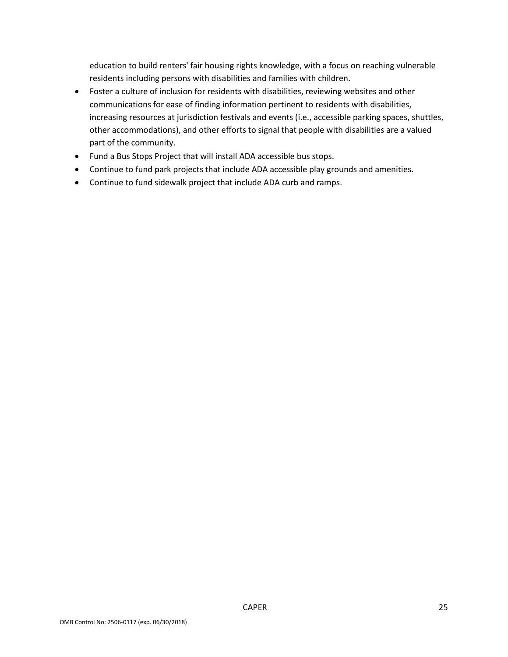education to build renters' fair housing rights knowledge, with a focus on reaching vulnerable residents including persons with disabilities and families with children.

- Foster a culture of inclusion for residents with disabilities, reviewing websites and other communications for ease of finding information pertinent to residents with disabilities, increasing resources at jurisdiction festivals and events (i.e., accessible parking spaces, shuttles, other accommodations), and other efforts to signal that people with disabilities are a valued part of the community.
- Fund a Bus Stops Project that will install ADA accessible bus stops.
- Continue to fund park projects that include ADA accessible play grounds and amenities.
- Continue to fund sidewalk project that include ADA curb and ramps.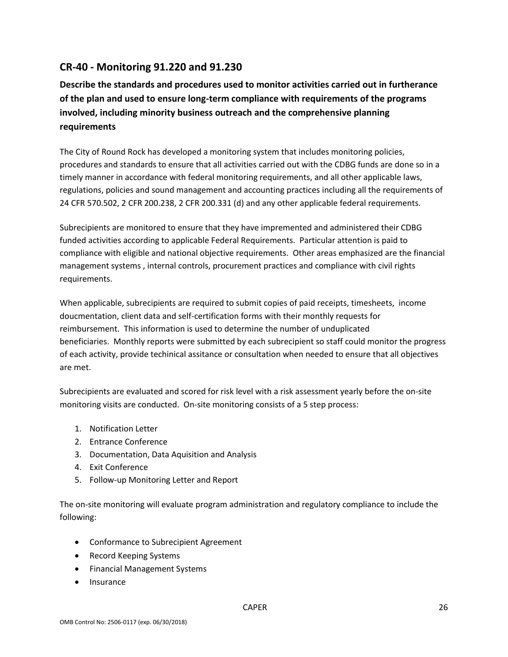## **CR-40 - Monitoring 91.220 and 91.230**

**Describe the standards and procedures used to monitor activities carried out in furtherance of the plan and used to ensure long-term compliance with requirements of the programs involved, including minority business outreach and the comprehensive planning requirements**

The City of Round Rock has developed a monitoring system that includes monitoring policies, procedures and standards to ensure that all activities carried out with the CDBG funds are done so in a timely manner in accordance with federal monitoring requirements, and all other applicable laws, regulations, policies and sound management and accounting practices including all the requirements of 24 CFR 570.502, 2 CFR 200.238, 2 CFR 200.331 (d) and any other applicable federal requirements.

Subrecipients are monitored to ensure that they have impremented and administered their CDBG funded activities according to applicable Federal Requirements. Particular attention is paid to compliance with eligible and national objective requirements. Other areas emphasized are the financial management systems , internal controls, procurement practices and compliance with civil rights requirements.

When applicable, subrecipients are required to submit copies of paid receipts, timesheets, income doucmentation, client data and self-certification forms with their monthly requests for reimbursement. This information is used to determine the number of unduplicated beneficiaries. Monthly reports were submitted by each subrecipient so staff could monitor the progress of each activity, provide techinical assitance or consultation when needed to ensure that all objectives are met.

Subrecipients are evaluated and scored for risk level with a risk assessment yearly before the on-site monitoring visits are conducted. On-site monitoring consists of a 5 step process:

- 1. Notification Letter
- 2. Entrance Conference
- 3. Documentation, Data Aquisition and Analysis
- 4. Exit Conference
- 5. Follow-up Monitoring Letter and Report

The on-site monitoring will evaluate program administration and regulatory compliance to include the following:

- Conformance to Subrecipient Agreement
- Record Keeping Systems
- Financial Management Systems
- Insurance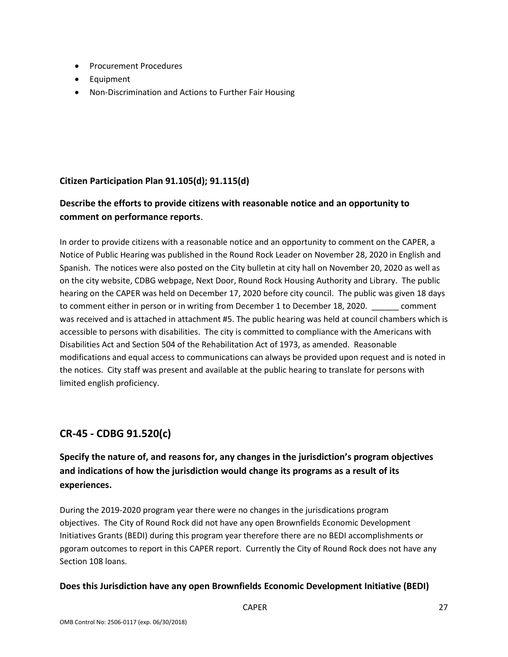- Procurement Procedures
- Equipment
- Non-Discrimination and Actions to Further Fair Housing

### **Citizen Participation Plan 91.105(d); 91.115(d)**

## **Describe the efforts to provide citizens with reasonable notice and an opportunity to comment on performance reports**.

In order to provide citizens with a reasonable notice and an opportunity to comment on the CAPER, a Notice of Public Hearing was published in the Round Rock Leader on November 28, 2020 in English and Spanish. The notices were also posted on the City bulletin at city hall on November 20, 2020 as well as on the city website, CDBG webpage, Next Door, Round Rock Housing Authority and Library. The public hearing on the CAPER was held on December 17, 2020 before city council. The public was given 18 days to comment either in person or in writing from December 1 to December 18, 2020. comment was received and is attached in attachment #5. The public hearing was held at council chambers which is accessible to persons with disabilities. The city is committed to compliance with the Americans with Disabilities Act and Section 504 of the Rehabilitation Act of 1973, as amended. Reasonable modifications and equal access to communications can always be provided upon request and is noted in the notices. City staff was present and available at the public hearing to translate for persons with limited english proficiency.

# **CR-45 - CDBG 91.520(c)**

# **Specify the nature of, and reasons for, any changes in the jurisdiction's program objectives and indications of how the jurisdiction would change its programs as a result of its experiences.**

During the 2019-2020 program year there were no changes in the jurisdications program objectives. The City of Round Rock did not have any open Brownfields Economic Development Initiatives Grants (BEDI) during this program year therefore there are no BEDI accomplishments or pgoram outcomes to report in this CAPER report. Currently the City of Round Rock does not have any Section 108 loans.

### **Does this Jurisdiction have any open Brownfields Economic Development Initiative (BEDI)**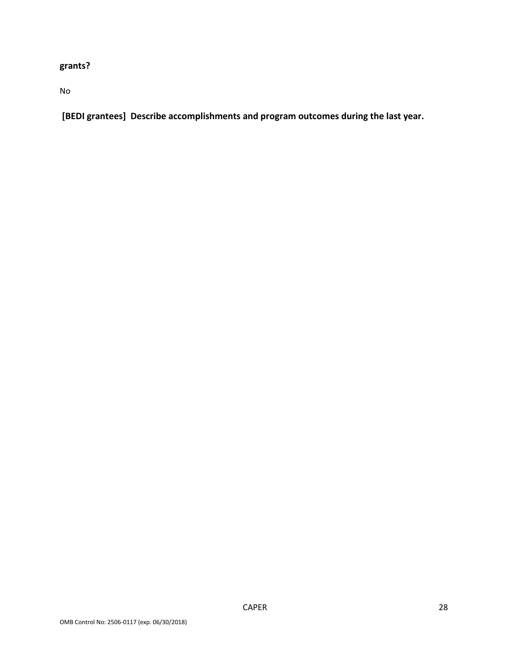# **grants?**

No

**[BEDI grantees] Describe accomplishments and program outcomes during the last year.**